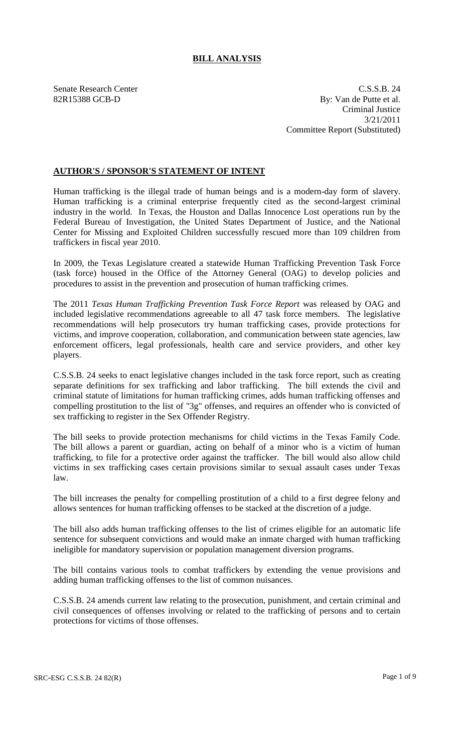# **BILL ANALYSIS**

Senate Research Center Cassets and C.S.S.B. 24 82R15388 GCB-D By: Van de Putte et al. Criminal Justice 3/21/2011 Committee Report (Substituted)

## **AUTHOR'S / SPONSOR'S STATEMENT OF INTENT**

Human trafficking is the illegal trade of human beings and is a modern-day form of slavery. Human trafficking is a criminal enterprise frequently cited as the second-largest criminal industry in the world. In Texas, the Houston and Dallas Innocence Lost operations run by the Federal Bureau of Investigation, the United States Department of Justice, and the National Center for Missing and Exploited Children successfully rescued more than 109 children from traffickers in fiscal year 2010.

In 2009, the Texas Legislature created a statewide Human Trafficking Prevention Task Force (task force) housed in the Office of the Attorney General (OAG) to develop policies and procedures to assist in the prevention and prosecution of human trafficking crimes.

The 2011 *Texas Human Trafficking Prevention Task Force Report* was released by OAG and included legislative recommendations agreeable to all 47 task force members. The legislative recommendations will help prosecutors try human trafficking cases, provide protections for victims, and improve cooperation, collaboration, and communication between state agencies, law enforcement officers, legal professionals, health care and service providers, and other key players.

C.S.S.B. 24 seeks to enact legislative changes included in the task force report, such as creating separate definitions for sex trafficking and labor trafficking. The bill extends the civil and criminal statute of limitations for human trafficking crimes, adds human trafficking offenses and compelling prostitution to the list of "3g" offenses, and requires an offender who is convicted of sex trafficking to register in the Sex Offender Registry.

The bill seeks to provide protection mechanisms for child victims in the Texas Family Code. The bill allows a parent or guardian, acting on behalf of a minor who is a victim of human trafficking, to file for a protective order against the trafficker. The bill would also allow child victims in sex trafficking cases certain provisions similar to sexual assault cases under Texas law.

The bill increases the penalty for compelling prostitution of a child to a first degree felony and allows sentences for human trafficking offenses to be stacked at the discretion of a judge.

The bill also adds human trafficking offenses to the list of crimes eligible for an automatic life sentence for subsequent convictions and would make an inmate charged with human trafficking ineligible for mandatory supervision or population management diversion programs.

The bill contains various tools to combat traffickers by extending the venue provisions and adding human trafficking offenses to the list of common nuisances.

C.S.S.B. 24 amends current law relating to the prosecution, punishment, and certain criminal and civil consequences of offenses involving or related to the trafficking of persons and to certain protections for victims of those offenses.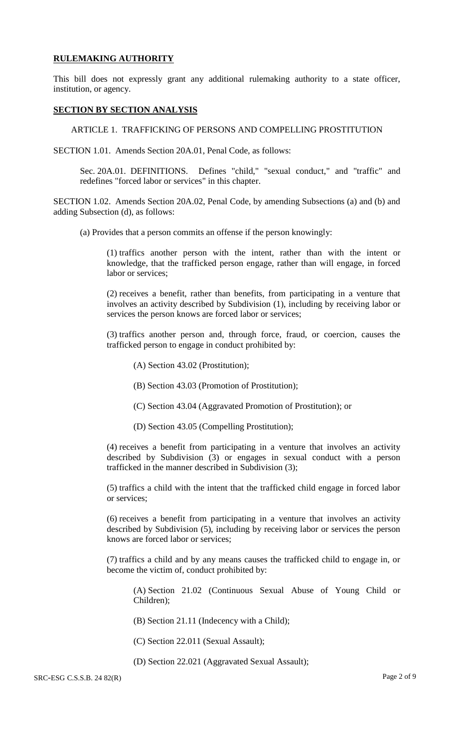### **RULEMAKING AUTHORITY**

This bill does not expressly grant any additional rulemaking authority to a state officer, institution, or agency.

#### **SECTION BY SECTION ANALYSIS**

ARTICLE 1. TRAFFICKING OF PERSONS AND COMPELLING PROSTITUTION

SECTION 1.01. Amends Section 20A.01, Penal Code, as follows:

Sec. 20A.01. DEFINITIONS. Defines "child," "sexual conduct," and "traffic" and redefines "forced labor or services" in this chapter.

SECTION 1.02. Amends Section 20A.02, Penal Code, by amending Subsections (a) and (b) and adding Subsection (d), as follows:

(a) Provides that a person commits an offense if the person knowingly:

(1) traffics another person with the intent, rather than with the intent or knowledge, that the trafficked person engage, rather than will engage, in forced labor or services;

(2) receives a benefit, rather than benefits, from participating in a venture that involves an activity described by Subdivision (1), including by receiving labor or services the person knows are forced labor or services;

(3) traffics another person and, through force, fraud, or coercion, causes the trafficked person to engage in conduct prohibited by:

- (A) Section 43.02 (Prostitution);
- (B) Section 43.03 (Promotion of Prostitution);
- (C) Section 43.04 (Aggravated Promotion of Prostitution); or
- (D) Section 43.05 (Compelling Prostitution);

(4) receives a benefit from participating in a venture that involves an activity described by Subdivision (3) or engages in sexual conduct with a person trafficked in the manner described in Subdivision (3);

(5) traffics a child with the intent that the trafficked child engage in forced labor or services;

(6) receives a benefit from participating in a venture that involves an activity described by Subdivision (5), including by receiving labor or services the person knows are forced labor or services;

(7) traffics a child and by any means causes the trafficked child to engage in, or become the victim of, conduct prohibited by:

(A) Section 21.02 (Continuous Sexual Abuse of Young Child or Children);

(B) Section 21.11 (Indecency with a Child);

- (C) Section 22.011 (Sexual Assault);
- (D) Section 22.021 (Aggravated Sexual Assault);

SRC-ESG C.S.S.B. 24 82(R) Page 2 of 9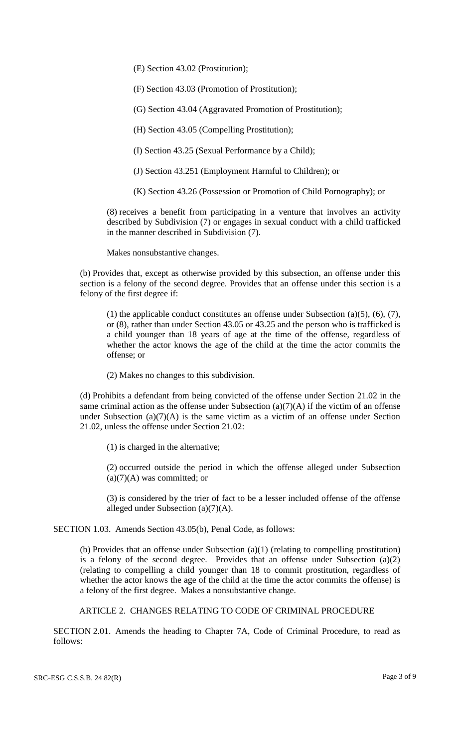(E) Section 43.02 (Prostitution);

(F) Section 43.03 (Promotion of Prostitution);

(G) Section 43.04 (Aggravated Promotion of Prostitution);

(H) Section 43.05 (Compelling Prostitution);

(I) Section 43.25 (Sexual Performance by a Child);

(J) Section 43.251 (Employment Harmful to Children); or

(K) Section 43.26 (Possession or Promotion of Child Pornography); or

(8) receives a benefit from participating in a venture that involves an activity described by Subdivision (7) or engages in sexual conduct with a child trafficked in the manner described in Subdivision (7).

Makes nonsubstantive changes.

(b) Provides that, except as otherwise provided by this subsection, an offense under this section is a felony of the second degree. Provides that an offense under this section is a felony of the first degree if:

(1) the applicable conduct constitutes an offense under Subsection (a)(5), (6), (7), or (8), rather than under Section 43.05 or 43.25 and the person who is trafficked is a child younger than 18 years of age at the time of the offense, regardless of whether the actor knows the age of the child at the time the actor commits the offense; or

(2) Makes no changes to this subdivision.

(d) Prohibits a defendant from being convicted of the offense under Section 21.02 in the same criminal action as the offense under Subsection  $(a)(7)(A)$  if the victim of an offense under Subsection  $(a)(7)(A)$  is the same victim as a victim of an offense under Section 21.02, unless the offense under Section 21.02:

(1) is charged in the alternative;

(2) occurred outside the period in which the offense alleged under Subsection  $(a)(7)(A)$  was committed; or

(3) is considered by the trier of fact to be a lesser included offense of the offense alleged under Subsection (a)(7)(A).

SECTION 1.03. Amends Section 43.05(b), Penal Code, as follows:

(b) Provides that an offense under Subsection (a)(1) (relating to compelling prostitution) is a felony of the second degree. Provides that an offense under Subsection (a)(2) (relating to compelling a child younger than 18 to commit prostitution, regardless of whether the actor knows the age of the child at the time the actor commits the offense) is a felony of the first degree. Makes a nonsubstantive change.

ARTICLE 2. CHANGES RELATING TO CODE OF CRIMINAL PROCEDURE

SECTION 2.01. Amends the heading to Chapter 7A, Code of Criminal Procedure, to read as follows: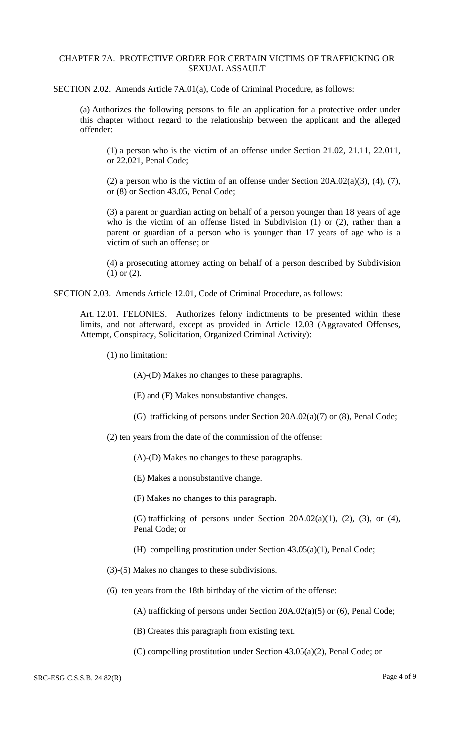### CHAPTER 7A. PROTECTIVE ORDER FOR CERTAIN VICTIMS OF TRAFFICKING OR SEXUAL ASSAULT

SECTION 2.02. Amends Article 7A.01(a), Code of Criminal Procedure, as follows:

(a) Authorizes the following persons to file an application for a protective order under this chapter without regard to the relationship between the applicant and the alleged offender:

(1) a person who is the victim of an offense under Section 21.02, 21.11, 22.011, or 22.021, Penal Code;

(2) a person who is the victim of an offense under Section  $20A.02(a)(3)$ , (4), (7), or (8) or Section 43.05, Penal Code;

(3) a parent or guardian acting on behalf of a person younger than 18 years of age who is the victim of an offense listed in Subdivision (1) or (2), rather than a parent or guardian of a person who is younger than 17 years of age who is a victim of such an offense; or

(4) a prosecuting attorney acting on behalf of a person described by Subdivision (1) or (2).

SECTION 2.03. Amends Article 12.01, Code of Criminal Procedure, as follows:

Art. 12.01. FELONIES. Authorizes felony indictments to be presented within these limits, and not afterward, except as provided in Article 12.03 (Aggravated Offenses, Attempt, Conspiracy, Solicitation, Organized Criminal Activity):

(1) no limitation:

(A)-(D) Makes no changes to these paragraphs.

(E) and (F) Makes nonsubstantive changes.

(G) trafficking of persons under Section 20A.02(a)(7) or (8), Penal Code;

(2) ten years from the date of the commission of the offense:

(A)-(D) Makes no changes to these paragraphs.

(E) Makes a nonsubstantive change.

(F) Makes no changes to this paragraph.

(G) trafficking of persons under Section  $20A.02(a)(1)$ ,  $(2)$ ,  $(3)$ , or  $(4)$ , Penal Code; or

- (H) compelling prostitution under Section 43.05(a)(1), Penal Code;
- (3)-(5) Makes no changes to these subdivisions.
- (6) ten years from the 18th birthday of the victim of the offense:

(A) trafficking of persons under Section 20A.02(a)(5) or (6), Penal Code;

- (B) Creates this paragraph from existing text.
- (C) compelling prostitution under Section 43.05(a)(2), Penal Code; or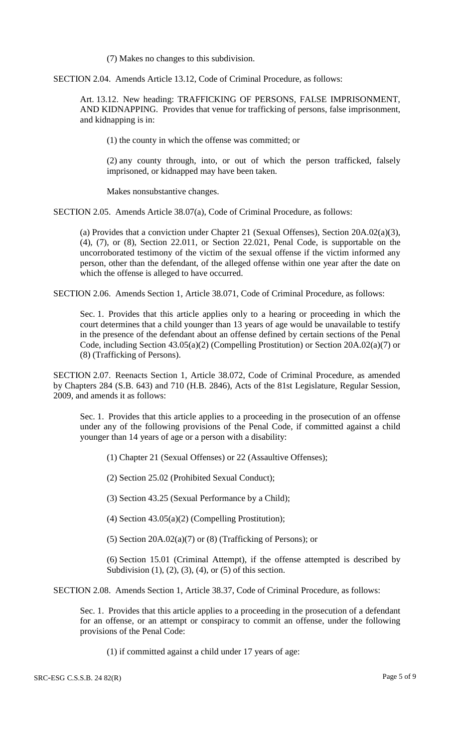(7) Makes no changes to this subdivision.

SECTION 2.04. Amends Article 13.12, Code of Criminal Procedure, as follows:

Art. 13.12. New heading: TRAFFICKING OF PERSONS, FALSE IMPRISONMENT, AND KIDNAPPING. Provides that venue for trafficking of persons, false imprisonment, and kidnapping is in:

(1) the county in which the offense was committed; or

(2) any county through, into, or out of which the person trafficked, falsely imprisoned, or kidnapped may have been taken.

Makes nonsubstantive changes.

SECTION 2.05. Amends Article 38.07(a), Code of Criminal Procedure, as follows:

(a) Provides that a conviction under Chapter 21 (Sexual Offenses), Section 20A.02(a)(3), (4), (7), or (8), Section 22.011, or Section 22.021, Penal Code, is supportable on the uncorroborated testimony of the victim of the sexual offense if the victim informed any person, other than the defendant, of the alleged offense within one year after the date on which the offense is alleged to have occurred.

SECTION 2.06. Amends Section 1, Article 38.071, Code of Criminal Procedure, as follows:

Sec. 1. Provides that this article applies only to a hearing or proceeding in which the court determines that a child younger than 13 years of age would be unavailable to testify in the presence of the defendant about an offense defined by certain sections of the Penal Code, including Section 43.05(a)(2) (Compelling Prostitution) or Section 20A.02(a)(7) or (8) (Trafficking of Persons).

SECTION 2.07. Reenacts Section 1, Article 38.072, Code of Criminal Procedure, as amended by Chapters 284 (S.B. 643) and 710 (H.B. 2846), Acts of the 81st Legislature, Regular Session, 2009, and amends it as follows:

Sec. 1. Provides that this article applies to a proceeding in the prosecution of an offense under any of the following provisions of the Penal Code, if committed against a child younger than 14 years of age or a person with a disability:

(1) Chapter 21 (Sexual Offenses) or 22 (Assaultive Offenses);

(2) Section 25.02 (Prohibited Sexual Conduct);

(3) Section 43.25 (Sexual Performance by a Child);

(4) Section 43.05(a)(2) (Compelling Prostitution);

(5) Section  $20A.02(a)(7)$  or (8) (Trafficking of Persons); or

(6) Section 15.01 (Criminal Attempt), if the offense attempted is described by Subdivision  $(1)$ ,  $(2)$ ,  $(3)$ ,  $(4)$ , or  $(5)$  of this section.

SECTION 2.08. Amends Section 1, Article 38.37, Code of Criminal Procedure, as follows:

Sec. 1. Provides that this article applies to a proceeding in the prosecution of a defendant for an offense, or an attempt or conspiracy to commit an offense, under the following provisions of the Penal Code:

(1) if committed against a child under 17 years of age: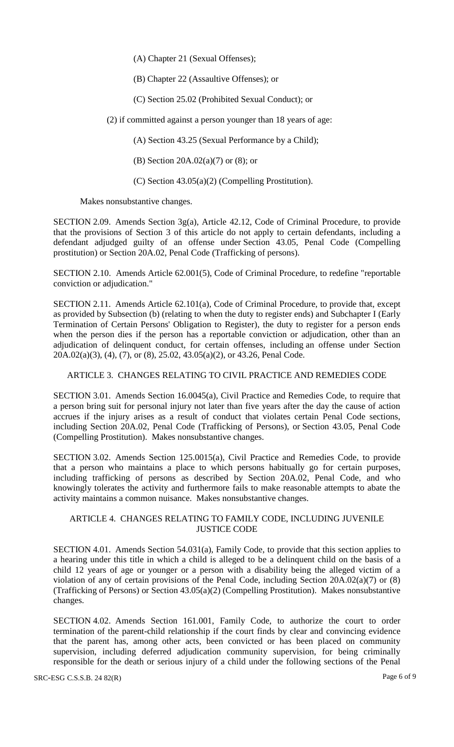(A) Chapter 21 (Sexual Offenses);

(B) Chapter 22 (Assaultive Offenses); or

(C) Section 25.02 (Prohibited Sexual Conduct); or

(2) if committed against a person younger than 18 years of age:

(A) Section 43.25 (Sexual Performance by a Child);

(B) Section 20A.02(a)(7) or (8); or

(C) Section 43.05(a)(2) (Compelling Prostitution).

Makes nonsubstantive changes.

SECTION 2.09. Amends Section 3g(a), Article 42.12, Code of Criminal Procedure, to provide that the provisions of Section 3 of this article do not apply to certain defendants, including a defendant adjudged guilty of an offense under Section 43.05, Penal Code (Compelling prostitution) or Section 20A.02, Penal Code (Trafficking of persons).

SECTION 2.10. Amends Article 62.001(5), Code of Criminal Procedure, to redefine "reportable conviction or adjudication."

SECTION 2.11. Amends Article 62.101(a), Code of Criminal Procedure, to provide that, except as provided by Subsection (b) (relating to when the duty to register ends) and Subchapter I (Early Termination of Certain Persons' Obligation to Register), the duty to register for a person ends when the person dies if the person has a reportable conviction or adjudication, other than an adjudication of delinquent conduct, for certain offenses, including an offense under Section 20A.02(a)(3), (4), (7), or (8), 25.02, 43.05(a)(2), or 43.26, Penal Code.

ARTICLE 3. CHANGES RELATING TO CIVIL PRACTICE AND REMEDIES CODE

SECTION 3.01. Amends Section 16.0045(a), Civil Practice and Remedies Code, to require that a person bring suit for personal injury not later than five years after the day the cause of action accrues if the injury arises as a result of conduct that violates certain Penal Code sections, including Section 20A.02, Penal Code (Trafficking of Persons), or Section 43.05, Penal Code (Compelling Prostitution). Makes nonsubstantive changes.

SECTION 3.02. Amends Section 125.0015(a), Civil Practice and Remedies Code, to provide that a person who maintains a place to which persons habitually go for certain purposes, including trafficking of persons as described by Section 20A.02, Penal Code, and who knowingly tolerates the activity and furthermore fails to make reasonable attempts to abate the activity maintains a common nuisance. Makes nonsubstantive changes.

## ARTICLE 4. CHANGES RELATING TO FAMILY CODE, INCLUDING JUVENILE JUSTICE CODE

SECTION 4.01. Amends Section 54.031(a), Family Code, to provide that this section applies to a hearing under this title in which a child is alleged to be a delinquent child on the basis of a child 12 years of age or younger or a person with a disability being the alleged victim of a violation of any of certain provisions of the Penal Code, including Section  $20A.02(a)(7)$  or  $(8)$ (Trafficking of Persons) or Section 43.05(a)(2) (Compelling Prostitution). Makes nonsubstantive changes.

SECTION 4.02. Amends Section 161.001, Family Code, to authorize the court to order termination of the parent-child relationship if the court finds by clear and convincing evidence that the parent has, among other acts, been convicted or has been placed on community supervision, including deferred adjudication community supervision, for being criminally responsible for the death or serious injury of a child under the following sections of the Penal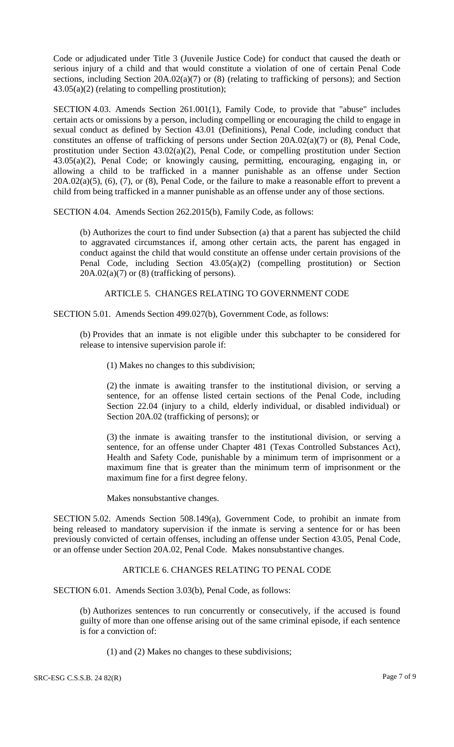Code or adjudicated under Title 3 (Juvenile Justice Code) for conduct that caused the death or serious injury of a child and that would constitute a violation of one of certain Penal Code sections, including Section 20A.02(a)(7) or (8) (relating to trafficking of persons); and Section  $43.05(a)(2)$  (relating to compelling prostitution);

SECTION 4.03. Amends Section 261.001(1), Family Code, to provide that "abuse" includes certain acts or omissions by a person, including compelling or encouraging the child to engage in sexual conduct as defined by Section 43.01 (Definitions), Penal Code, including conduct that constitutes an offense of trafficking of persons under Section 20A.02(a)(7) or (8), Penal Code, prostitution under Section 43.02(a)(2), Penal Code, or compelling prostitution under Section 43.05(a)(2), Penal Code; or knowingly causing, permitting, encouraging, engaging in, or allowing a child to be trafficked in a manner punishable as an offense under Section  $20A.02(a)(5)$ ,  $(6)$ ,  $(7)$ , or  $(8)$ , Penal Code, or the failure to make a reasonable effort to prevent a child from being trafficked in a manner punishable as an offense under any of those sections.

SECTION 4.04. Amends Section 262.2015(b), Family Code, as follows:

(b) Authorizes the court to find under Subsection (a) that a parent has subjected the child to aggravated circumstances if, among other certain acts, the parent has engaged in conduct against the child that would constitute an offense under certain provisions of the Penal Code, including Section 43.05(a)(2) (compelling prostitution) or Section  $20A.02(a)(7)$  or  $(8)$  (trafficking of persons).

ARTICLE 5. CHANGES RELATING TO GOVERNMENT CODE

SECTION 5.01. Amends Section 499.027(b), Government Code, as follows:

(b) Provides that an inmate is not eligible under this subchapter to be considered for release to intensive supervision parole if:

(1) Makes no changes to this subdivision;

(2) the inmate is awaiting transfer to the institutional division, or serving a sentence, for an offense listed certain sections of the Penal Code, including Section 22.04 (injury to a child, elderly individual, or disabled individual) or Section 20A.02 (trafficking of persons); or

(3) the inmate is awaiting transfer to the institutional division, or serving a sentence, for an offense under Chapter 481 (Texas Controlled Substances Act), Health and Safety Code, punishable by a minimum term of imprisonment or a maximum fine that is greater than the minimum term of imprisonment or the maximum fine for a first degree felony.

Makes nonsubstantive changes.

SECTION 5.02. Amends Section 508.149(a), Government Code, to prohibit an inmate from being released to mandatory supervision if the inmate is serving a sentence for or has been previously convicted of certain offenses, including an offense under Section 43.05, Penal Code, or an offense under Section 20A.02, Penal Code. Makes nonsubstantive changes.

## ARTICLE 6. CHANGES RELATING TO PENAL CODE

SECTION 6.01. Amends Section 3.03(b), Penal Code, as follows:

(b) Authorizes sentences to run concurrently or consecutively, if the accused is found guilty of more than one offense arising out of the same criminal episode, if each sentence is for a conviction of:

(1) and (2) Makes no changes to these subdivisions;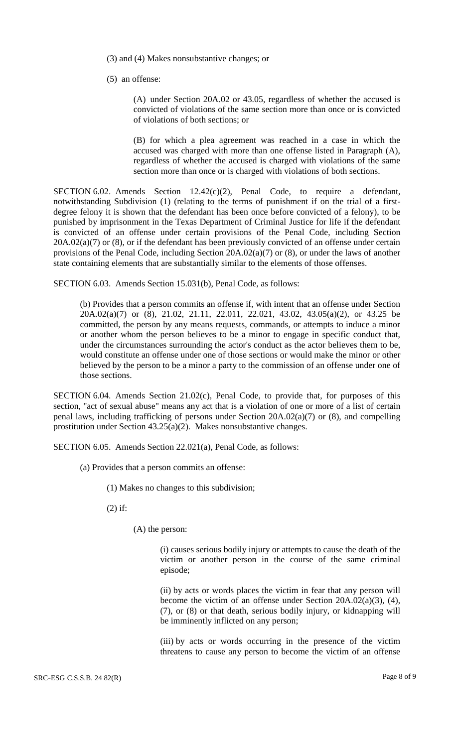(3) and (4) Makes nonsubstantive changes; or

(5) an offense:

(A) under Section 20A.02 or 43.05, regardless of whether the accused is convicted of violations of the same section more than once or is convicted of violations of both sections; or

(B) for which a plea agreement was reached in a case in which the accused was charged with more than one offense listed in Paragraph (A), regardless of whether the accused is charged with violations of the same section more than once or is charged with violations of both sections.

SECTION 6.02. Amends Section  $12.42(c)(2)$ , Penal Code, to require a defendant, notwithstanding Subdivision (1) (relating to the terms of punishment if on the trial of a firstdegree felony it is shown that the defendant has been once before convicted of a felony), to be punished by imprisonment in the Texas Department of Criminal Justice for life if the defendant is convicted of an offense under certain provisions of the Penal Code, including Section  $20A.02(a)(7)$  or (8), or if the defendant has been previously convicted of an offense under certain provisions of the Penal Code, including Section 20A.02(a)(7) or (8), or under the laws of another state containing elements that are substantially similar to the elements of those offenses.

SECTION 6.03. Amends Section 15.031(b), Penal Code, as follows:

(b) Provides that a person commits an offense if, with intent that an offense under Section 20A.02(a)(7) or (8), 21.02, 21.11, 22.011, 22.021, 43.02, 43.05(a)(2), or 43.25 be committed, the person by any means requests, commands, or attempts to induce a minor or another whom the person believes to be a minor to engage in specific conduct that, under the circumstances surrounding the actor's conduct as the actor believes them to be, would constitute an offense under one of those sections or would make the minor or other believed by the person to be a minor a party to the commission of an offense under one of those sections.

SECTION 6.04. Amends Section 21.02(c), Penal Code, to provide that, for purposes of this section, "act of sexual abuse" means any act that is a violation of one or more of a list of certain penal laws, including trafficking of persons under Section 20A.02(a)(7) or (8), and compelling prostitution under Section 43.25(a)(2). Makes nonsubstantive changes.

SECTION 6.05. Amends Section 22.021(a), Penal Code, as follows:

- (a) Provides that a person commits an offense:
	- (1) Makes no changes to this subdivision;

(2) if:

(A) the person:

(i) causes serious bodily injury or attempts to cause the death of the victim or another person in the course of the same criminal episode;

(ii) by acts or words places the victim in fear that any person will become the victim of an offense under Section 20A.02(a)(3), (4), (7), or (8) or that death, serious bodily injury, or kidnapping will be imminently inflicted on any person;

(iii) by acts or words occurring in the presence of the victim threatens to cause any person to become the victim of an offense